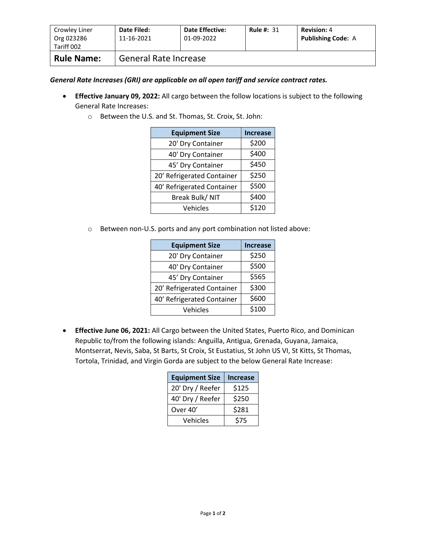| Crowley Liner<br>Org 023286<br>Tariff 002 | Date Filed:<br>11-16-2021    | <b>Date Effective:</b><br>01-09-2022 | <b>Rule #: 31</b> | <b>Revision: 4</b><br><b>Publishing Code: A</b> |
|-------------------------------------------|------------------------------|--------------------------------------|-------------------|-------------------------------------------------|
| <b>Rule Name:</b>                         | <b>General Rate Increase</b> |                                      |                   |                                                 |

*General Rate Increases (GRI) are applicable on all open tariff and service contract rates.*

- **Effective January 09, 2022:** All cargo between the follow locations is subject to the following General Rate Increases:
	- o Between the U.S. and St. Thomas, St. Croix, St. John:

| <b>Equipment Size</b>      | <b>Increase</b> |
|----------------------------|-----------------|
| 20' Dry Container          | \$200           |
| 40' Dry Container          | \$400           |
| 45' Dry Container          | \$450           |
| 20' Refrigerated Container | \$250           |
| 40' Refrigerated Container | \$500           |
| Break Bulk/NIT             | \$400           |
| Vehicles                   | \$120           |

o Between non-U.S. ports and any port combination not listed above:

| <b>Equipment Size</b>      | <b>Increase</b> |
|----------------------------|-----------------|
| 20' Dry Container          | \$250           |
| 40' Dry Container          | \$500           |
| 45' Dry Container          | \$565           |
| 20' Refrigerated Container | \$300           |
| 40' Refrigerated Container | \$600           |
| Vehicles                   | \$100           |

• **Effective June 06, 2021:** All Cargo between the United States, Puerto Rico, and Dominican Republic to/from the following islands: Anguilla, Antigua, Grenada, Guyana, Jamaica, Montserrat, Nevis, Saba, St Barts, St Croix, St Eustatius, St John US VI, St Kitts, St Thomas, Tortola, Trinidad, and Virgin Gorda are subject to the below General Rate Increase:

| <b>Equipment Size</b> | <b>Increase</b> |
|-----------------------|-----------------|
| 20' Dry / Reefer      | \$125           |
| 40' Dry / Reefer      | \$250           |
| Over 40'              | \$281           |
| Vehicles              | \$75            |